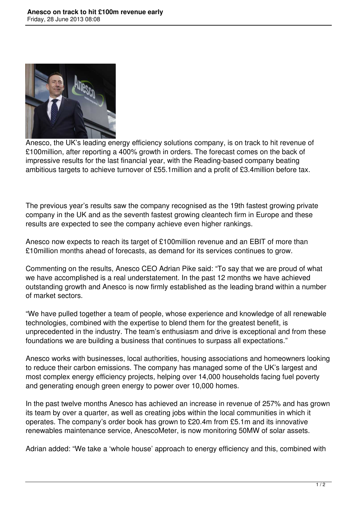

Anesco, the UK's leading energy efficiency solutions company, is on track to hit revenue of £100million, after reporting a 400% growth in orders. The forecast comes on the back of impressive results for the last financial year, with the Reading-based company beating ambitious targets to achieve turnover of £55.1million and a profit of £3.4million before tax.

The previous year's results saw the company recognised as the 19th fastest growing private company in the UK and as the seventh fastest growing cleantech firm in Europe and these results are expected to see the company achieve even higher rankings.

Anesco now expects to reach its target of £100million revenue and an EBIT of more than £10million months ahead of forecasts, as demand for its services continues to grow.

Commenting on the results, Anesco CEO Adrian Pike said: "To say that we are proud of what we have accomplished is a real understatement. In the past 12 months we have achieved outstanding growth and Anesco is now firmly established as the leading brand within a number of market sectors.

"We have pulled together a team of people, whose experience and knowledge of all renewable technologies, combined with the expertise to blend them for the greatest benefit, is unprecedented in the industry. The team's enthusiasm and drive is exceptional and from these foundations we are building a business that continues to surpass all expectations."

Anesco works with businesses, local authorities, housing associations and homeowners looking to reduce their carbon emissions. The company has managed some of the UK's largest and most complex energy efficiency projects, helping over 14,000 households facing fuel poverty and generating enough green energy to power over 10,000 homes.

In the past twelve months Anesco has achieved an increase in revenue of 257% and has grown its team by over a quarter, as well as creating jobs within the local communities in which it operates. The company's order book has grown to £20.4m from £5.1m and its innovative renewables maintenance service, AnescoMeter, is now monitoring 50MW of solar assets.

Adrian added: "We take a 'whole house' approach to energy efficiency and this, combined with